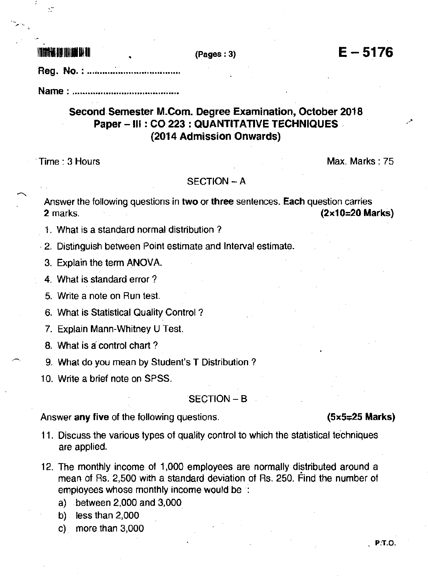Ň

Req. No.: ..............

# Second.Semester M.Com. Degree Examination, October 2018 Paper - III : CO 223 : QUANTITATIVE TECHNIQUES (2014 Admission Onwards)

Time : 3 Hours Max. Marks : 75

# SECTION - A

Answer the following questions in two or three sentences. Each question carries <sup>2</sup>marks. (2x10=20 Marks)

1. What is a standard normal distribution ?

. 2. Distinguish between Point estimate and Interval estimate.

3. Explain the term ANOVA.

4. What is standard errot ?

5. Write a note on Bun tesl.

6. What is Statistical Quality Control ?

7. Explain Mann-Whitney U Test.

8. What is a control chart ?

9- What do you mean by Student's T Distribution ?

10. Write a brief note on SPSS.

# SECTION - B

Answer any five of the following questions.  $(5 \times 5 = 25 \text{ Marks})$ 

### 11. Discuss the various types of quality control to which the statistical techniques are applied.

- 12. The monthly income of 1,000 employees are normally distributed around a mean of Rs. 2,500 with a standard deviation of Rs. 250. Find the number of employees whose monthly income would be :
	- a) between 2,000 and 3,000
	- b) less than 2,000
	- c) more than  $3,000$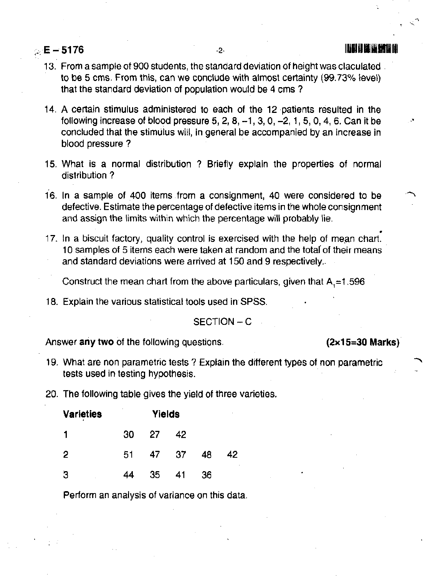., E - s176 -z- l[]llllflfllifllfll

- 13. From a sample of 900 students, the standard deviation of height was claculated. to be 5 cms. From this, can we conclude with almost certainty (99.73% level) that the standard deviation of population would be 4 cms?
- 14. A certain stimulus administered to each of the 12 patients resulted in the following increase of blood pressure  $5, 2, 8, -1, 3, 0, -2, 1, 5, 0, 4, 6$ . Can it be concluded that the stimulus will, in general be accompanied by an increase in blood pressure ?
- 15. What is a normal distribution ? Brielly explain the properties ot normal distribution ?
- 16. In a sample of 400 items from a consignment, 40 were considered to be defective. Estimate the percentage of defective items in the whole consignment and assign the limits within which the percentage will probably lie.
- 17. In a biscuit factory, quality control is exercised with the help of mean chart. 10 samples of 5 items each were taken at random and the total of their means and standard deviations were arrived at 150 and 9 respectively..

Construct the mean chart from the above particulars, given that  $A = 1.596$ 

18. Explain the various statistical tools used in SPSS.

 $SECTION - C$ 

Answer any two of the following questions. (2x15=30 Marks)

- 19. What are non parametric tests ? Explain the different types of non parametric tests used in testing hypothesis.
- 20. The following table gives the yield of three varieties.

| <b>Varieties</b> | ٠  | <b>Yields</b> |      |    | ٠  |
|------------------|----|---------------|------|----|----|
| 1                | 30 | -27           | 42   |    |    |
| 2                | 51 | 47            | - 37 | 48 | 42 |
| З                | 44 | 35            | 41   | 36 |    |

Perform an analysis of variance on this data.